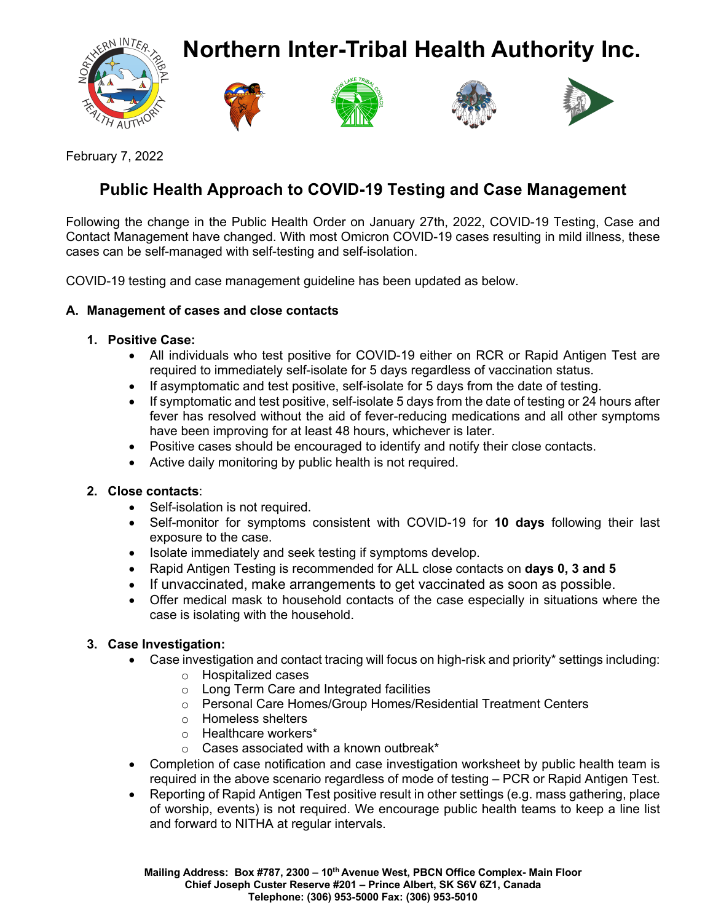**Northern Inter-Tribal Health Authority Inc.**









February 7, 2022

# **Public Health Approach to COVID-19 Testing and Case Management**

Following the change in the Public Health Order on January 27th, 2022, COVID-19 Testing, Case and Contact Management have changed. With most Omicron COVID-19 cases resulting in mild illness, these cases can be self-managed with self-testing and self-isolation.

COVID-19 testing and case management guideline has been updated as below.

## **A. Management of cases and close contacts**

## **1. Positive Case:**

- All individuals who test positive for COVID-19 either on RCR or Rapid Antigen Test are required to immediately self-isolate for 5 days regardless of vaccination status.
- If asymptomatic and test positive, self-isolate for 5 days from the date of testing.
- If symptomatic and test positive, self-isolate 5 days from the date of testing or 24 hours after fever has resolved without the aid of fever-reducing medications and all other symptoms have been improving for at least 48 hours, whichever is later.
- Positive cases should be encouraged to identify and notify their close contacts.
- Active daily monitoring by public health is not required.

## **2. Close contacts**:

- Self-isolation is not required.
- Self-monitor for symptoms consistent with COVID-19 for **10 days** following their last exposure to the case.
- Isolate immediately and seek testing if symptoms develop.
- Rapid Antigen Testing is recommended for ALL close contacts on **days 0, 3 and 5**
- If unvaccinated, make arrangements to get vaccinated as soon as possible.
- Offer medical mask to household contacts of the case especially in situations where the case is isolating with the household.

## **3. Case Investigation:**

- Case investigation and contact tracing will focus on high-risk and priority\* settings including:
	- o Hospitalized cases
	- o Long Term Care and Integrated facilities
	- o Personal Care Homes/Group Homes/Residential Treatment Centers
	- o Homeless shelters
	- o Healthcare workers\*
	- o Cases associated with a known outbreak\*
- Completion of case notification and case investigation worksheet by public health team is required in the above scenario regardless of mode of testing – PCR or Rapid Antigen Test.
- Reporting of Rapid Antigen Test positive result in other settings (e.g. mass gathering, place of worship, events) is not required. We encourage public health teams to keep a line list and forward to NITHA at regular intervals.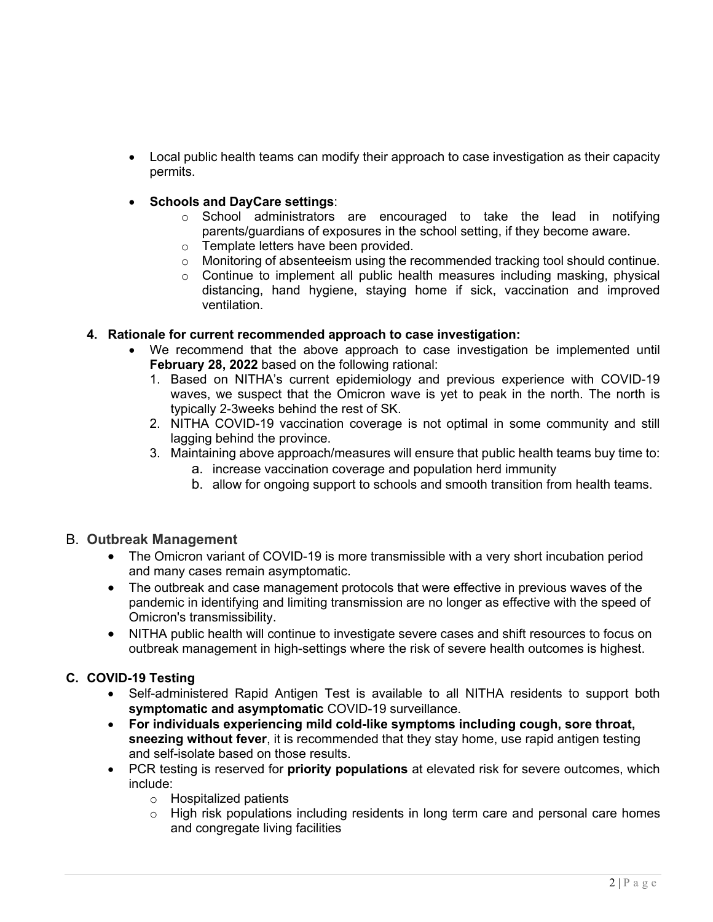- Local public health teams can modify their approach to case investigation as their capacity permits.
- **Schools and DayCare settings**:
	- o School administrators are encouraged to take the lead in notifying parents/guardians of exposures in the school setting, if they become aware.
	- o Template letters have been provided.
	- o Monitoring of absenteeism using the recommended tracking tool should continue.
	- o Continue to implement all public health measures including masking, physical distancing, hand hygiene, staying home if sick, vaccination and improved ventilation.

### **4. Rationale for current recommended approach to case investigation:**

- We recommend that the above approach to case investigation be implemented until **February 28, 2022** based on the following rational:
	- 1. Based on NITHA's current epidemiology and previous experience with COVID-19 waves, we suspect that the Omicron wave is yet to peak in the north. The north is typically 2-3weeks behind the rest of SK.
	- 2. NITHA COVID-19 vaccination coverage is not optimal in some community and still lagging behind the province.
	- 3. Maintaining above approach/measures will ensure that public health teams buy time to:
		- a. increase vaccination coverage and population herd immunity
		- b. allow for ongoing support to schools and smooth transition from health teams.

#### B. **Outbreak Management**

- The Omicron variant of COVID-19 is more transmissible with a very short incubation period and many cases remain asymptomatic.
- The outbreak and case management protocols that were effective in previous waves of the pandemic in identifying and limiting transmission are no longer as effective with the speed of Omicron's transmissibility.
- NITHA public health will continue to investigate severe cases and shift resources to focus on outbreak management in high-settings where the risk of severe health outcomes is highest.

## **C. COVID-19 Testing**

- Self-administered Rapid Antigen Test is available to all NITHA residents to support both **symptomatic and asymptomatic** COVID-19 surveillance.
- **For individuals experiencing mild cold-like symptoms including cough, sore throat, sneezing without fever**, it is recommended that they stay home, use rapid antigen testing and self-isolate based on those results.
- PCR testing is reserved for **priority populations** at elevated risk for severe outcomes, which include:
	- o Hospitalized patients
	- o High risk populations including residents in long term care and personal care homes and congregate living facilities